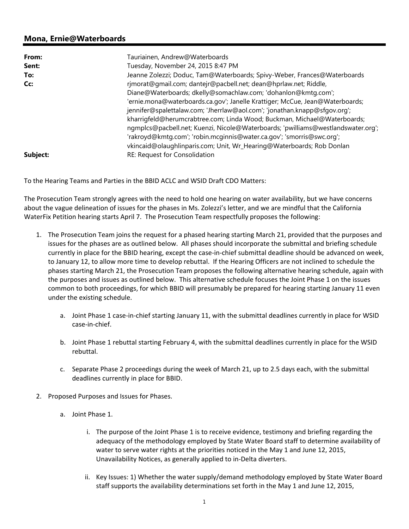## **Mona, Ernie@Waterboards**

| From:    | Tauriainen, Andrew@Waterboards                                                                                                                            |
|----------|-----------------------------------------------------------------------------------------------------------------------------------------------------------|
| Sent:    | Tuesday, November 24, 2015 8:47 PM                                                                                                                        |
| To:      | Jeanne Zolezzi; Doduc, Tam@Waterboards; Spivy-Weber, Frances@Waterboards                                                                                  |
| Cc:      | rjmorat@gmail.com; dantejr@pacbell.net; dean@hprlaw.net; Riddle,                                                                                          |
|          | Diane@Waterboards; dkelly@somachlaw.com; 'dohanlon@kmtq.com';                                                                                             |
|          | 'ernie.mona@waterboards.ca.gov'; Janelle Krattiger; McCue, Jean@Waterboards;                                                                              |
|          | jennifer@spalettalaw.com; 'Jherrlaw@aol.com'; 'jonathan.knapp@sfgov.org';                                                                                 |
|          | kharrigfeld@herumcrabtree.com; Linda Wood; Buckman, Michael@Waterboards;                                                                                  |
|          | ngmplcs@pacbell.net; Kuenzi, Nicole@Waterboards; 'pwilliams@westlandswater.org';<br>'rakroyd@kmtg.com'; 'robin.mcginnis@water.ca.gov'; 'smorris@swc.org'; |
|          | vkincaid@olaughlinparis.com; Unit, Wr_Hearing@Waterboards; Rob Donlan                                                                                     |
| Subject: | RE: Request for Consolidation                                                                                                                             |

To the Hearing Teams and Parties in the BBID ACLC and WSID Draft CDO Matters:

The Prosecution Team strongly agrees with the need to hold one hearing on water availability, but we have concerns about the vague delineation of issues for the phases in Ms. Zolezzi's letter, and we are mindful that the California WaterFix Petition hearing starts April 7. The Prosecution Team respectfully proposes the following:

- 1. The Prosecution Team joins the request for a phased hearing starting March 21, provided that the purposes and issues for the phases are as outlined below. All phases should incorporate the submittal and briefing schedule currently in place for the BBID hearing, except the case-in-chief submittal deadline should be advanced on week, to January 12, to allow more time to develop rebuttal. If the Hearing Officers are not inclined to schedule the phases starting March 21, the Prosecution Team proposes the following alternative hearing schedule, again with the purposes and issues as outlined below. This alternative schedule focuses the Joint Phase 1 on the issues common to both proceedings, for which BBID will presumably be prepared for hearing starting January 11 even under the existing schedule.
	- a. Joint Phase 1 case‐in‐chief starting January 11, with the submittal deadlines currently in place for WSID case‐in‐chief.
	- b. Joint Phase 1 rebuttal starting February 4, with the submittal deadlines currently in place for the WSID rebuttal.
	- c. Separate Phase 2 proceedings during the week of March 21, up to 2.5 days each, with the submittal deadlines currently in place for BBID.
- 2. Proposed Purposes and Issues for Phases.
	- a. Joint Phase 1.
		- i. The purpose of the Joint Phase 1 is to receive evidence, testimony and briefing regarding the adequacy of the methodology employed by State Water Board staff to determine availability of water to serve water rights at the priorities noticed in the May 1 and June 12, 2015, Unavailability Notices, as generally applied to in‐Delta diverters.
		- ii. Key Issues: 1) Whether the water supply/demand methodology employed by State Water Board staff supports the availability determinations set forth in the May 1 and June 12, 2015,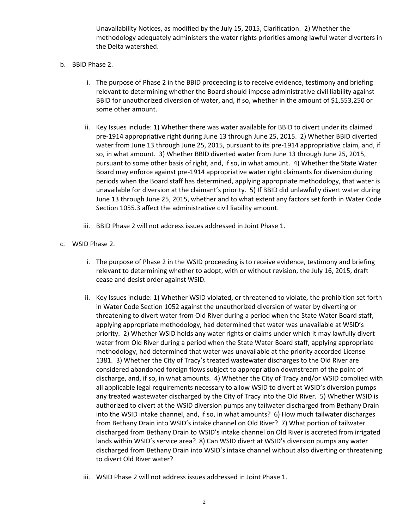Unavailability Notices, as modified by the July 15, 2015, Clarification. 2) Whether the methodology adequately administers the water rights priorities among lawful water diverters in the Delta watershed.

- b. BBID Phase 2.
	- i. The purpose of Phase 2 in the BBID proceeding is to receive evidence, testimony and briefing relevant to determining whether the Board should impose administrative civil liability against BBID for unauthorized diversion of water, and, if so, whether in the amount of \$1,553,250 or some other amount.
	- ii. Key Issues include: 1) Whether there was water available for BBID to divert under its claimed pre‐1914 appropriative right during June 13 through June 25, 2015. 2) Whether BBID diverted water from June 13 through June 25, 2015, pursuant to its pre-1914 appropriative claim, and, if so, in what amount. 3) Whether BBID diverted water from June 13 through June 25, 2015, pursuant to some other basis of right, and, if so, in what amount. 4) Whether the State Water Board may enforce against pre‐1914 appropriative water right claimants for diversion during periods when the Board staff has determined, applying appropriate methodology, that water is unavailable for diversion at the claimant's priority. 5) If BBID did unlawfully divert water during June 13 through June 25, 2015, whether and to what extent any factors set forth in Water Code Section 1055.3 affect the administrative civil liability amount.
	- iii. BBID Phase 2 will not address issues addressed in Joint Phase 1.
- c. WSID Phase 2.
	- i. The purpose of Phase 2 in the WSID proceeding is to receive evidence, testimony and briefing relevant to determining whether to adopt, with or without revision, the July 16, 2015, draft cease and desist order against WSID.
	- ii. Key Issues include: 1) Whether WSID violated, or threatened to violate, the prohibition set forth in Water Code Section 1052 against the unauthorized diversion of water by diverting or threatening to divert water from Old River during a period when the State Water Board staff, applying appropriate methodology, had determined that water was unavailable at WSID's priority. 2) Whether WSID holds any water rights or claims under which it may lawfully divert water from Old River during a period when the State Water Board staff, applying appropriate methodology, had determined that water was unavailable at the priority accorded License 1381. 3) Whether the City of Tracy's treated wastewater discharges to the Old River are considered abandoned foreign flows subject to appropriation downstream of the point of discharge, and, if so, in what amounts. 4) Whether the City of Tracy and/or WSID complied with all applicable legal requirements necessary to allow WSID to divert at WSID's diversion pumps any treated wastewater discharged by the City of Tracy into the Old River. 5) Whether WSID is authorized to divert at the WSID diversion pumps any tailwater discharged from Bethany Drain into the WSID intake channel, and, if so, in what amounts? 6) How much tailwater discharges from Bethany Drain into WSID's intake channel on Old River? 7) What portion of tailwater discharged from Bethany Drain to WSID's intake channel on Old River is accreted from irrigated lands within WSID's service area? 8) Can WSID divert at WSID's diversion pumps any water discharged from Bethany Drain into WSID's intake channel without also diverting or threatening to divert Old River water?
	- iii. WSID Phase 2 will not address issues addressed in Joint Phase 1.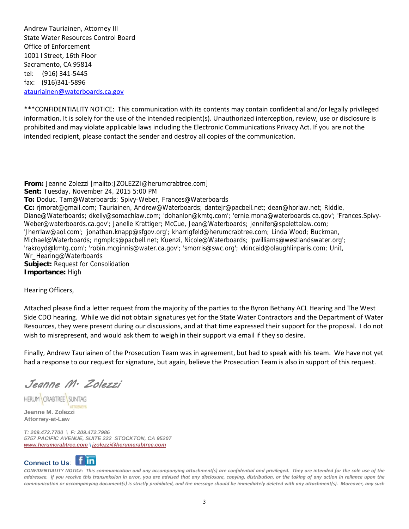Andrew Tauriainen, Attorney III State Water Resources Control Board Office of Enforcement 1001 I Street, 16th Floor Sacramento, CA 95814 tel: (916) 341‐5445 fax: (916)341‐5896 atauriainen@waterboards.ca.gov

\*\*\*CONFIDENTIALITY NOTICE: This communication with its contents may contain confidential and/or legally privileged information. It is solely for the use of the intended recipient(s). Unauthorized interception, review, use or disclosure is prohibited and may violate applicable laws including the Electronic Communications Privacy Act. If you are not the intended recipient, please contact the sender and destroy all copies of the communication.

**From:** Jeanne Zolezzi [mailto:JZOLEZZI@herumcrabtree.com] **Sent:** Tuesday, November 24, 2015 5:00 PM **To:** Doduc, Tam@Waterboards; Spivy-Weber, Frances@Waterboards **Cc:** rjmorat@gmail.com; Tauriainen, Andrew@Waterboards; dantejr@pacbell.net; dean@hprlaw.net; Riddle, Diane@Waterboards; dkelly@somachlaw.com; 'dohanlon@kmtg.com'; 'ernie.mona@waterboards.ca.gov'; 'Frances.Spivy-Weber@waterboards.ca.gov'; Janelle Krattiger; McCue, Jean@Waterboards; jennifer@spalettalaw.com; 'Jherrlaw@aol.com'; 'jonathan.knapp@sfgov.org'; kharrigfeld@herumcrabtree.com; Linda Wood; Buckman, Michael@Waterboards; ngmplcs@pacbell.net; Kuenzi, Nicole@Waterboards; 'pwilliams@westlandswater.org'; 'rakroyd@kmtg.com'; 'robin.mcginnis@water.ca.gov'; 'smorris@swc.org'; vkincaid@olaughlinparis.com; Unit, Wr\_Hearing@Waterboards **Subject:** Request for Consolidation **Importance:** High

Hearing Officers,

Attached please find a letter request from the majority of the parties to the Byron Bethany ACL Hearing and The West Side CDO hearing. While we did not obtain signatures yet for the State Water Contractors and the Department of Water Resources, they were present during our discussions, and at that time expressed their support for the proposal. I do not wish to misrepresent, and would ask them to weigh in their support via email if they so desire.

Finally, Andrew Tauriainen of the Prosecution Team was in agreement, but had to speak with his team. We have not yet had a response to our request for signature, but again, believe the Prosecution Team is also in support of this request.

Jeanne M. Zolezzi

**HERUM CRABTREE SUNTAG** 

**Jeanne M. Zolezzi Attorney-at-Law** 

*T: 209.472.7700 \ F: 209.472.7986 5757 PACIFIC AVENUE, SUITE 222 STOCKTON, CA 95207 www.herumcrabtree.com \ jzolezzi@herumcrabtree.com*



CONFIDENTIALITY NOTICE: This communication and any accompanying attachment(s) are confidential and privileged. They are intended for the sole use of the addressee. If you receive this transmission in error, you are advised that any disclosure, copying, distribution, or the taking of any action in reliance upon the communication or accompanying document(s) is strictly prohibited, and the message should be immediately deleted with any attachment(s). Moreover, any such